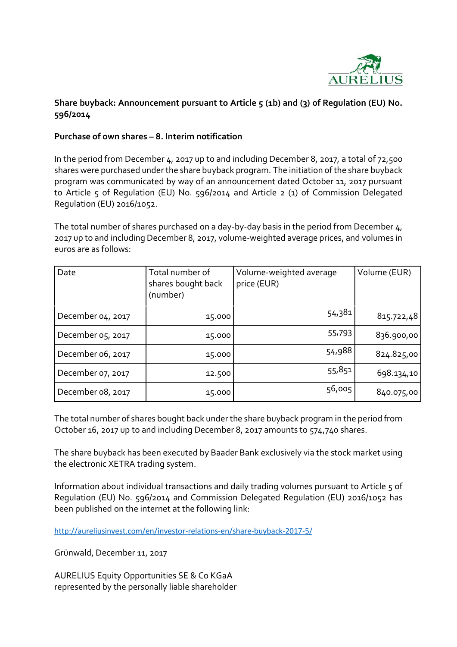

## Share buyback: Announcement pursuant to Article 5 (1b) and (3) of Regulation (EU) No. 596/2014

## Purchase of own shares – 8. Interim notification

In the period from December 4, 2017 up to and including December 8, 2017, a total of 72,500 shares were purchased under the share buyback program. The initiation of the share buyback program was communicated by way of an announcement dated October 11, 2017 pursuant to Article 5 of Regulation (EU) No. 596/2014 and Article 2 (1) of Commission Delegated Regulation (EU) 2016/1052.

The total number of shares purchased on a day-by-day basis in the period from December 4, 2017 up to and including December 8, 2017, volume-weighted average prices, and volumes in euros are as follows:

| Date              | Total number of<br>shares bought back<br>(number) | Volume-weighted average<br>price (EUR) | Volume (EUR) |
|-------------------|---------------------------------------------------|----------------------------------------|--------------|
| December 04, 2017 | 15.000                                            | 54,381                                 | 815.722,48   |
| December 05, 2017 | 15.000                                            | 55,793                                 | 836.900,00   |
| December 06, 2017 | 15.000                                            | 54,988                                 | 824.825,00   |
| December 07, 2017 | 12.500                                            | 55,851                                 | 698.134,10   |
| December 08, 2017 | 15.000                                            | 56,005                                 | 840.075,00   |

The total number of shares bought back under the share buyback program in the period from October 16, 2017 up to and including December 8, 2017 amounts to 574,740 shares.

The share buyback has been executed by Baader Bank exclusively via the stock market using the electronic XETRA trading system.

Information about individual transactions and daily trading volumes pursuant to Article 5 of Regulation (EU) No. 596/2014 and Commission Delegated Regulation (EU) 2016/1052 has been published on the internet at the following link:

http://aureliusinvest.com/en/investor-relations-en/share-buyback-2017-5/

Grünwald, December 11, 2017

AURELIUS Equity Opportunities SE & Co KGaA represented by the personally liable shareholder